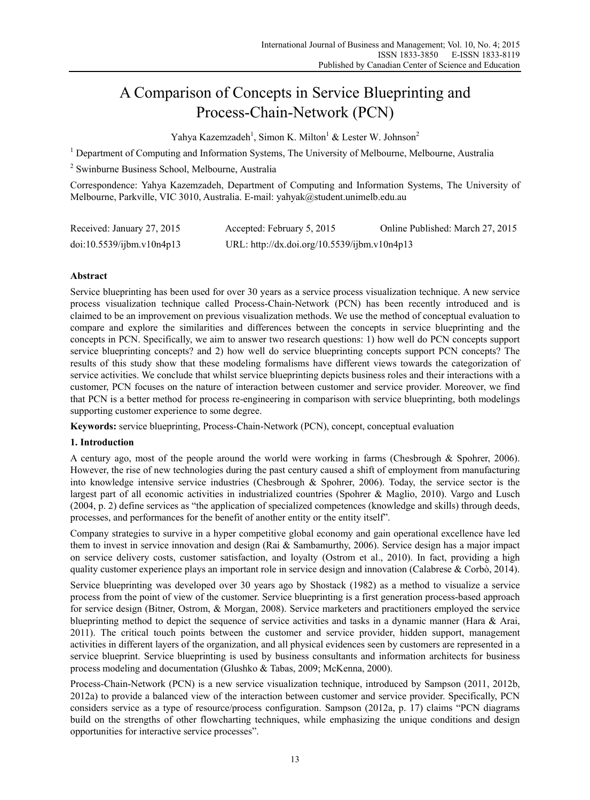# A Comparison of Concepts in Service Blueprinting and Process-Chain-Network (PCN)

Yahya Kazemzadeh<sup>1</sup>, Simon K. Milton<sup>1</sup> & Lester W. Johnson<sup>2</sup>

<sup>1</sup> Department of Computing and Information Systems, The University of Melbourne, Melbourne, Australia

2 Swinburne Business School, Melbourne, Australia

Correspondence: Yahya Kazemzadeh, Department of Computing and Information Systems, The University of Melbourne, Parkville, VIC 3010, Australia. E-mail: yahyak@student.unimelb.edu.au

| Received: January 27, 2015 | Accepted: February 5, 2015                   | Online Published: March 27, 2015 |
|----------------------------|----------------------------------------------|----------------------------------|
| doi:10.5539/ijbm.v10n4p13  | URL: http://dx.doi.org/10.5539/ijbm.v10n4p13 |                                  |

# **Abstract**

Service blueprinting has been used for over 30 years as a service process visualization technique. A new service process visualization technique called Process-Chain-Network (PCN) has been recently introduced and is claimed to be an improvement on previous visualization methods. We use the method of conceptual evaluation to compare and explore the similarities and differences between the concepts in service blueprinting and the concepts in PCN. Specifically, we aim to answer two research questions: 1) how well do PCN concepts support service blueprinting concepts? and 2) how well do service blueprinting concepts support PCN concepts? The results of this study show that these modeling formalisms have different views towards the categorization of service activities. We conclude that whilst service blueprinting depicts business roles and their interactions with a customer, PCN focuses on the nature of interaction between customer and service provider. Moreover, we find that PCN is a better method for process re-engineering in comparison with service blueprinting, both modelings supporting customer experience to some degree.

**Keywords:** service blueprinting, Process-Chain-Network (PCN), concept, conceptual evaluation

# **1. Introduction**

A century ago, most of the people around the world were working in farms (Chesbrough & Spohrer, 2006). However, the rise of new technologies during the past century caused a shift of employment from manufacturing into knowledge intensive service industries (Chesbrough & Spohrer, 2006). Today, the service sector is the largest part of all economic activities in industrialized countries (Spohrer & Maglio, 2010). Vargo and Lusch (2004, p. 2) define services as "the application of specialized competences (knowledge and skills) through deeds, processes, and performances for the benefit of another entity or the entity itself".

Company strategies to survive in a hyper competitive global economy and gain operational excellence have led them to invest in service innovation and design (Rai & Sambamurthy, 2006). Service design has a major impact on service delivery costs, customer satisfaction, and loyalty (Ostrom et al., 2010). In fact, providing a high quality customer experience plays an important role in service design and innovation (Calabrese & Corbò, 2014).

Service blueprinting was developed over 30 years ago by Shostack (1982) as a method to visualize a service process from the point of view of the customer. Service blueprinting is a first generation process-based approach for service design (Bitner, Ostrom, & Morgan, 2008). Service marketers and practitioners employed the service blueprinting method to depict the sequence of service activities and tasks in a dynamic manner (Hara & Arai, 2011). The critical touch points between the customer and service provider, hidden support, management activities in different layers of the organization, and all physical evidences seen by customers are represented in a service blueprint. Service blueprinting is used by business consultants and information architects for business process modeling and documentation (Glushko & Tabas, 2009; McKenna, 2000).

Process-Chain-Network (PCN) is a new service visualization technique, introduced by Sampson (2011, 2012b, 2012a) to provide a balanced view of the interaction between customer and service provider. Specifically, PCN considers service as a type of resource/process configuration. Sampson (2012a, p. 17) claims "PCN diagrams build on the strengths of other flowcharting techniques, while emphasizing the unique conditions and design opportunities for interactive service processes".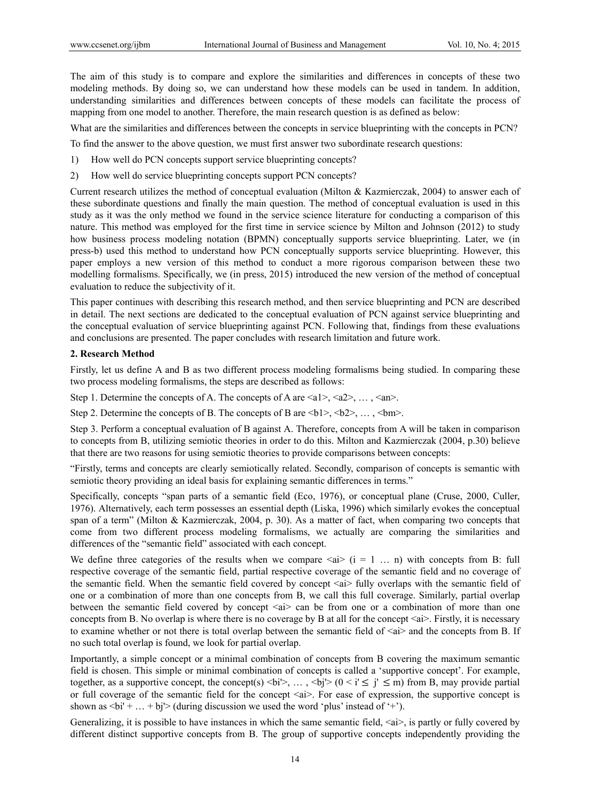The aim of this study is to compare and explore the similarities and differences in concepts of these two modeling methods. By doing so, we can understand how these models can be used in tandem. In addition, understanding similarities and differences between concepts of these models can facilitate the process of mapping from one model to another. Therefore, the main research question is as defined as below:

What are the similarities and differences between the concepts in service blueprinting with the concepts in PCN?

To find the answer to the above question, we must first answer two subordinate research questions:

- 1) How well do PCN concepts support service blueprinting concepts?
- 2) How well do service blueprinting concepts support PCN concepts?

Current research utilizes the method of conceptual evaluation (Milton & Kazmierczak, 2004) to answer each of these subordinate questions and finally the main question. The method of conceptual evaluation is used in this study as it was the only method we found in the service science literature for conducting a comparison of this nature. This method was employed for the first time in service science by Milton and Johnson (2012) to study how business process modeling notation (BPMN) conceptually supports service blueprinting. Later, we (in press-b) used this method to understand how PCN conceptually supports service blueprinting. However, this paper employs a new version of this method to conduct a more rigorous comparison between these two modelling formalisms. Specifically, we (in press, 2015) introduced the new version of the method of conceptual evaluation to reduce the subjectivity of it.

This paper continues with describing this research method, and then service blueprinting and PCN are described in detail. The next sections are dedicated to the conceptual evaluation of PCN against service blueprinting and the conceptual evaluation of service blueprinting against PCN. Following that, findings from these evaluations and conclusions are presented. The paper concludes with research limitation and future work.

#### **2. Research Method**

Firstly, let us define A and B as two different process modeling formalisms being studied. In comparing these two process modeling formalisms, the steps are described as follows:

Step 1. Determine the concepts of A. The concepts of A are  $\langle a1 \rangle, \langle a2 \rangle, \dots, \langle an \rangle$ .

Step 2. Determine the concepts of B. The concepts of B are  $\langle b1 \rangle, \langle b2 \rangle, \dots, \langle bm \rangle$ .

Step 3. Perform a conceptual evaluation of B against A. Therefore, concepts from A will be taken in comparison to concepts from B, utilizing semiotic theories in order to do this. Milton and Kazmierczak (2004, p.30) believe that there are two reasons for using semiotic theories to provide comparisons between concepts:

"Firstly, terms and concepts are clearly semiotically related. Secondly, comparison of concepts is semantic with semiotic theory providing an ideal basis for explaining semantic differences in terms."

Specifically, concepts "span parts of a semantic field (Eco, 1976), or conceptual plane (Cruse, 2000, Culler, 1976). Alternatively, each term possesses an essential depth (Liska, 1996) which similarly evokes the conceptual span of a term" (Milton & Kazmierczak, 2004, p. 30). As a matter of fact, when comparing two concepts that come from two different process modeling formalisms, we actually are comparing the similarities and differences of the "semantic field" associated with each concept.

We define three categories of the results when we compare  $\langle ai \rangle$  (i = 1 ... n) with concepts from B: full respective coverage of the semantic field, partial respective coverage of the semantic field and no coverage of the semantic field. When the semantic field covered by concept  $\langle ai \rangle$  fully overlaps with the semantic field of one or a combination of more than one concepts from B, we call this full coverage. Similarly, partial overlap between the semantic field covered by concept  $\langle ai \rangle$  can be from one or a combination of more than one concepts from B. No overlap is where there is no coverage by B at all for the concept  $\langle ai \rangle$ . Firstly, it is necessary to examine whether or not there is total overlap between the semantic field of  $\langle a \rangle$  and the concepts from B. If no such total overlap is found, we look for partial overlap.

Importantly, a simple concept or a minimal combination of concepts from B covering the maximum semantic field is chosen. This simple or minimal combination of concepts is called a 'supportive concept'. For example, together, as a supportive concept, the concept(s)  $\langle bi \rangle$ , ...,  $\langle bij \rangle$  (0  $\langle i \le j' \le m$ ) from B, may provide partial or full coverage of the semantic field for the concept  $\langle ai \rangle$ . For ease of expression, the supportive concept is shown as  $\langle bi' + ... + bj' \rangle$  (during discussion we used the word 'plus' instead of '+').

Generalizing, it is possible to have instances in which the same semantic field,  $\langle ai \rangle$ , is partly or fully covered by different distinct supportive concepts from B. The group of supportive concepts independently providing the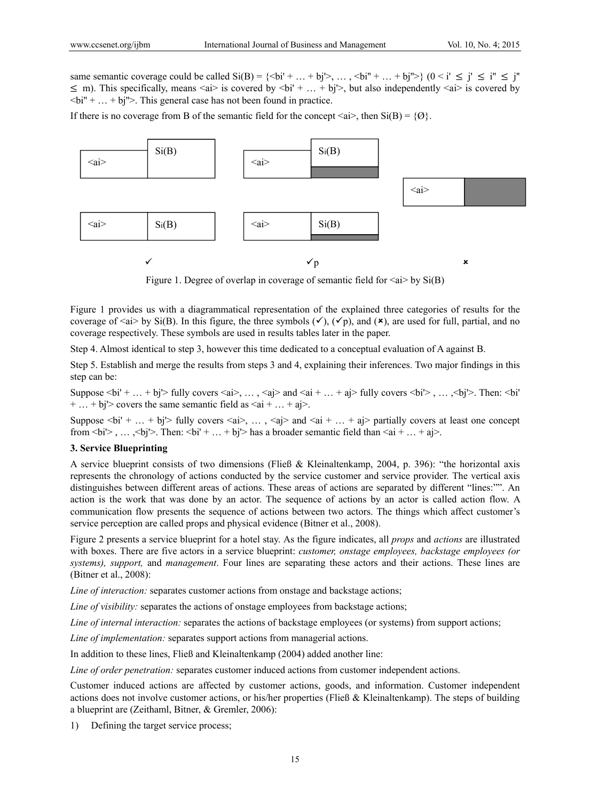same semantic coverage could be called  $Si(B) = \{ \langle bi' + ... + bj' \rangle, ..., \langle bi'' + ... + bj'' \rangle \}$   $(0 \le i' \le j' \le i'' \le j'')$  $\leq$  m). This specifically, means  $\langle ai \rangle$  is covered by  $\langle bi' + ... + bj' \rangle$ , but also independently  $\langle ai \rangle$  is covered by  $\langle bi'' + ... + bi'' \rangle$ . This general case has not been found in practice.

If there is no coverage from B of the semantic field for the concept  $\langle ai \rangle$ , then  $Si(B) = \{ \emptyset \}$ .



Figure 1. Degree of overlap in coverage of semantic field for  $\langle ai \rangle$  by  $\langle Si(B) \rangle$ 

Figure 1 provides us with a diagrammatical representation of the explained three categories of results for the coverage of <ai> by Si(B). In this figure, the three symbols  $(\checkmark)$ ,  $(\checkmark)$  and  $(\checkmark)$ , are used for full, partial, and no coverage respectively. These symbols are used in results tables later in the paper.

Step 4. Almost identical to step 3, however this time dedicated to a conceptual evaluation of A against B.

Step 5. Establish and merge the results from steps 3 and 4, explaining their inferences. Two major findings in this step can be:

Suppose  $\langle bi' + ... + bj' \rangle$  fully covers  $\langle ai \rangle$ , …,  $\langle aj \rangle$  and  $\langle ai + ... + aj \rangle$  fully covers  $\langle bi' \rangle$ , …,  $\langle bj' \rangle$ . Then:  $\langle bi' \rangle$  $+ ... + bj'$  covers the same semantic field as  $\langle ai + ... + ai \rangle$ .

Suppose  $\langle bi' + ... + bj' \rangle$  fully covers  $\langle ai \rangle$ ,  $\langle ai \rangle$  and  $\langle ai + ... + aj \rangle$  partially covers at least one concept from  $\langle bi' \rangle$ , ...,  $\langle bij' \rangle$ . Then:  $\langle bi' + ... + bj' \rangle$  has a broader semantic field than  $\langle ai + ... + aj \rangle$ .

#### **3. Service Blueprinting**

A service blueprint consists of two dimensions (Fließ & Kleinaltenkamp, 2004, p. 396): "the horizontal axis represents the chronology of actions conducted by the service customer and service provider. The vertical axis distinguishes between different areas of actions. These areas of actions are separated by different "lines:"". An action is the work that was done by an actor. The sequence of actions by an actor is called action flow. A communication flow presents the sequence of actions between two actors. The things which affect customer's service perception are called props and physical evidence (Bitner et al., 2008).

Figure 2 presents a service blueprint for a hotel stay. As the figure indicates, all *props* and *actions* are illustrated with boxes. There are five actors in a service blueprint: *customer, onstage employees, backstage employees (or systems), support,* and *management*. Four lines are separating these actors and their actions. These lines are (Bitner et al., 2008):

*Line of interaction:* separates customer actions from onstage and backstage actions;

*Line of visibility:* separates the actions of onstage employees from backstage actions;

*Line of internal interaction:* separates the actions of backstage employees (or systems) from support actions;

*Line of implementation:* separates support actions from managerial actions.

In addition to these lines, Fließ and Kleinaltenkamp (2004) added another line:

*Line of order penetration:* separates customer induced actions from customer independent actions.

Customer induced actions are affected by customer actions, goods, and information. Customer independent actions does not involve customer actions, or his/her properties (Fließ  $\&$  Kleinaltenkamp). The steps of building a blueprint are (Zeithaml, Bitner, & Gremler, 2006):

1) Defining the target service process;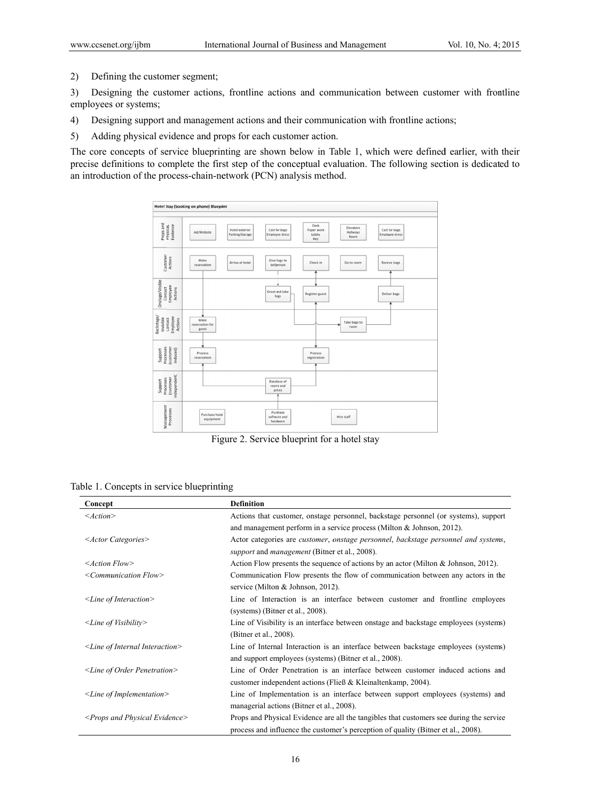$2)$ Defining the customer segment;

Designing the customer actions, frontline actions and communication between customer with frontline  $3)$ employees or systems;

Designing support and management actions and their communication with frontline actions;  $4)$ 

Adding physical evidence and props for each customer action.  $5)$ 

The core concepts of service blueprinting are shown below in Table 1, which were defined earlier, with their precise definitions to complete the first step of the conceptual evaluation. The following section is dedicated to an introduction of the process-chain-network (PCN) analysis method.



Figure 2. Service blueprint for a hotel stay

| Concept                                        | <b>Definition</b>                                                                                          |
|------------------------------------------------|------------------------------------------------------------------------------------------------------------|
| $\leq$ Action $>$                              | Actions that customer, onstage personnel, backstage personnel (or systems), support                        |
|                                                | and management perform in a service process (Milton $& Johnson, 2012$ ).                                   |
| <actor categories=""></actor>                  | Actor categories are <i>customer</i> , <i>onstage personnel</i> , <i>backstage personnel and systems</i> , |
|                                                | <i>support</i> and <i>management</i> (Bitner et al., 2008).                                                |
| $\leq$ Action Flow>                            | Action Flow presents the sequence of actions by an actor (Milton & Johnson, 2012).                         |
| $\leq$ Communication Flow>                     | Communication Flow presents the flow of communication between any actors in the                            |
|                                                | service (Milton $&$ Johnson, 2012).                                                                        |
| $\leq$ Line of Interaction $>$                 | Line of Interaction is an interface between customer and frontline employees                               |
|                                                | (systems) (Bitner et al., 2008).                                                                           |
| $\leq$ <i>Line of Visibility</i> $>$           | Line of Visibility is an interface between onstage and backstage employees (systems)                       |
|                                                | (Bitner et al., 2008).                                                                                     |
| <line interaction="" internal="" of=""></line> | Line of Internal Interaction is an interface between backstage employees (systems)                         |
|                                                | and support employees (systems) (Bitner et al., 2008).                                                     |
| <line of="" order="" penetration=""></line>    | Line of Order Penetration is an interface between customer induced actions and                             |
|                                                | customer independent actions (Fließ & Kleinaltenkamp, 2004).                                               |
| $\leq$ Line of Implementation $>$              | Line of Implementation is an interface between support employees (systems) and                             |
|                                                | managerial actions (Bitner et al., 2008).                                                                  |
| <props and="" evidence="" physical=""></props> | Props and Physical Evidence are all the tangibles that customers see during the service                    |
|                                                | process and influence the customer's perception of quality (Bitner et al., 2008).                          |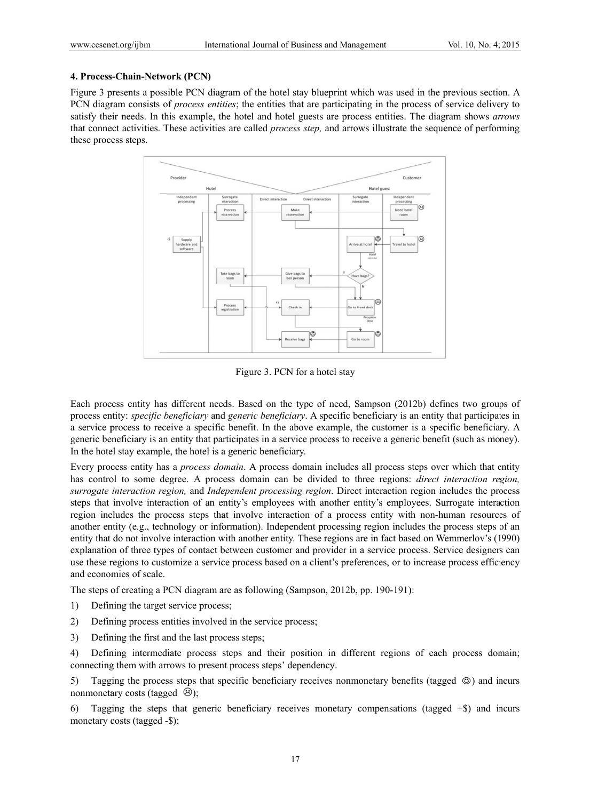# 4. Process-Chain-Network (PCN)

Figure 3 presents a possible PCN diagram of the hotel stay blueprint which was used in the previous section. A PCN diagram consists of *process entities*; the entities that are participating in the process of service delivery to satisfy their needs. In this example, the hotel and hotel guests are process entities. The diagram shows arrows that connect activities. These activities are called *process step*, and arrows illustrate the sequence of performing these process steps.



Figure 3. PCN for a hotel stay

Each process entity has different needs. Based on the type of need, Sampson (2012b) defines two groups of process entity: *specific beneficiary* and *generic beneficiary*. A specific beneficiary is an entity that participates in a service process to receive a specific benefit. In the above example, the customer is a specific beneficiary. A generic beneficiary is an entity that participates in a service process to receive a generic benefit (such as money). In the hotel stay example, the hotel is a generic beneficiary.

Every process entity has a *process domain*. A process domain includes all process steps over which that entity has control to some degree. A process domain can be divided to three regions: *direct interaction region*, surrogate interaction region, and Independent processing region. Direct interaction region includes the process steps that involve interaction of an entity's employees with another entity's employees. Surrogate interaction region includes the process steps that involve interaction of a process entity with non-human resources of another entity (e.g., technology or information). Independent processing region includes the process steps of an entity that do not involve interaction with another entity. These regions are in fact based on Wemmerlov's (1990) explanation of three types of contact between customer and provider in a service process. Service designers can use these regions to customize a service process based on a client's preferences, or to increase process efficiency and economies of scale.

The steps of creating a PCN diagram are as following (Sampson, 2012b, pp. 190-191):

- Defining the target service process;  $1)$
- $(2)$ Defining process entities involved in the service process;
- $3)$ Defining the first and the last process steps;

Defining intermediate process steps and their position in different regions of each process domain; 4) connecting them with arrows to present process steps' dependency.

Tagging the process steps that specific beneficiary receives nonmonetary benefits (tagged  $\circledcirc$ ) and incurs  $5)$ nonmonetary costs (tagged  $\otimes$ );

Tagging the steps that generic beneficiary receives monetary compensations (tagged +\$) and incurs 6) monetary costs (tagged -\$);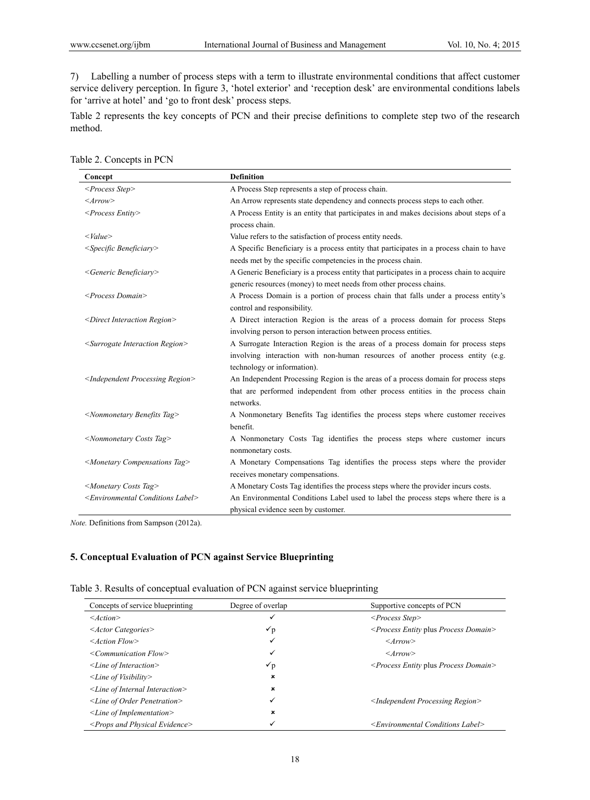7) Labelling a number of process steps with a term to illustrate environmental conditions that affect customer service delivery perception. In figure 3, 'hotel exterior' and 'reception desk' are environmental conditions labels for 'arrive at hotel' and 'go to front desk' process steps.

Table 2 represents the key concepts of PCN and their precise definitions to complete step two of the research method.

| Concept                                                | <b>Definition</b>                                                                         |
|--------------------------------------------------------|-------------------------------------------------------------------------------------------|
| <process step=""></process>                            | A Process Step represents a step of process chain.                                        |
| $\leq$ Arrow>                                          | An Arrow represents state dependency and connects process steps to each other.            |
| <process entity=""></process>                          | A Process Entity is an entity that participates in and makes decisions about steps of a   |
|                                                        | process chain.                                                                            |
| $\langle Value \rangle$                                | Value refers to the satisfaction of process entity needs.                                 |
| $<$ Specific Beneficiary>                              | A Specific Beneficiary is a process entity that participates in a process chain to have   |
|                                                        | needs met by the specific competencies in the process chain.                              |
| <generic beneficiary=""></generic>                     | A Generic Beneficiary is a process entity that participates in a process chain to acquire |
|                                                        | generic resources (money) to meet needs from other process chains.                        |
| $\leq$ Process Domain>                                 | A Process Domain is a portion of process chain that falls under a process entity's        |
|                                                        | control and responsibility.                                                               |
| <direct interaction="" region=""></direct>             | A Direct interaction Region is the areas of a process domain for process Steps            |
|                                                        | involving person to person interaction between process entities.                          |
| <surrogate interaction="" region=""></surrogate>       | A Surrogate Interaction Region is the areas of a process domain for process steps         |
|                                                        | involving interaction with non-human resources of another process entity (e.g.            |
|                                                        | technology or information).                                                               |
| <independent processing="" region=""></independent>    | An Independent Processing Region is the areas of a process domain for process steps       |
|                                                        | that are performed independent from other process entities in the process chain           |
|                                                        | networks.                                                                                 |
| <nonmonetary benefits="" tag=""></nonmonetary>         | A Nonmonetary Benefits Tag identifies the process steps where customer receives           |
|                                                        | benefit.                                                                                  |
| <nonmonetary costs="" tag=""></nonmonetary>            | A Nonmonetary Costs Tag identifies the process steps where customer incurs                |
|                                                        | nonmonetary costs.                                                                        |
| <monetary compensations="" tag=""></monetary>          | A Monetary Compensations Tag identifies the process steps where the provider              |
|                                                        | receives monetary compensations.                                                          |
| <monetary costs="" tag=""></monetary>                  | A Monetary Costs Tag identifies the process steps where the provider incurs costs.        |
| <environmental conditions="" label=""></environmental> | An Environmental Conditions Label used to label the process steps where there is a        |
|                                                        | physical evidence seen by customer.                                                       |

*Note.* Definitions from Sampson (2012a).

# **5. Conceptual Evaluation of PCN against Service Blueprinting**

|  | Table 3. Results of conceptual evaluation of PCN against service blueprinting |  |  |  |
|--|-------------------------------------------------------------------------------|--|--|--|
|  |                                                                               |  |  |  |

| Concepts of service blueprinting                | Degree of overlap | Supportive concepts of PCN                                 |
|-------------------------------------------------|-------------------|------------------------------------------------------------|
| $\leq$ Action $>$                               | ✓                 | $\langle Process Step \rangle$                             |
| <actor categories=""></actor>                   | $\mathbf{v}_p$    | <process domain="" entity="" plus="" process=""></process> |
| $\leq$ Action Flow>                             | ✓                 | $\langle Arrow \rangle$                                    |
| $\leq$ Communication Flow $>$                   | ✓                 | $\langle Arrow \rangle$                                    |
| $\leq$ Line of Interaction $>$                  | $\mathbf{v}_p$    | $\langle$ Process Entity plus Process Domain>              |
| $\leq$ <i>Line of Visibility</i> $>$            | ×                 |                                                            |
| $\leq$ Line of Internal Interaction $\geq$      | ×                 |                                                            |
| $\leq$ Line of Order Penetration $>$            | ✓                 | <independent processing="" region=""></independent>        |
| $\leq$ Line of Implementation $>$               | ×                 |                                                            |
| $\langle$ Props and Physical Evidence $\rangle$ |                   | $\leq$ Environmental Conditions Label $>$                  |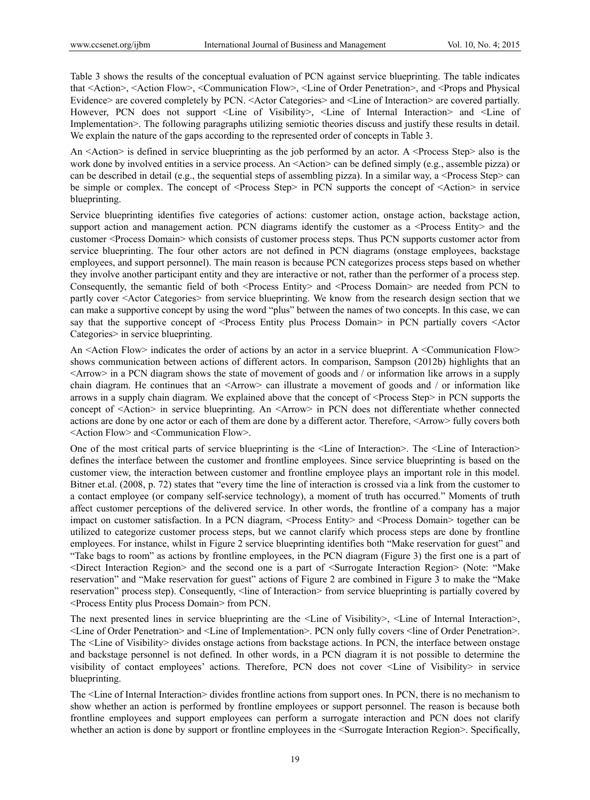Table 3 shows the results of the conceptual evaluation of PCN against service blueprinting. The table indicates that <Action>, <Action Flow>, <Communication Flow>, <Line of Order Penetration>, and <Props and Physical Evidence> are covered completely by PCN. <Actor Categories> and <Line of Interaction> are covered partially. However, PCN does not support <Line of Visibility>, <Line of Internal Interaction> and <Line of Implementation>. The following paragraphs utilizing semiotic theories discuss and justify these results in detail. We explain the nature of the gaps according to the represented order of concepts in Table 3.

An <Action> is defined in service blueprinting as the job performed by an actor. A <Process Step> also is the work done by involved entities in a service process. An  $\leq$ Action $\geq$  can be defined simply (e.g., assemble pizza) or can be described in detail (e.g., the sequential steps of assembling pizza). In a similar way, a  $\leq$ Process Step $\geq$  can be simple or complex. The concept of <Process Step> in PCN supports the concept of <Action> in service blueprinting.

Service blueprinting identifies five categories of actions: customer action, onstage action, backstage action, support action and management action. PCN diagrams identify the customer as a <Process Entity> and the customer <Process Domain> which consists of customer process steps. Thus PCN supports customer actor from service blueprinting. The four other actors are not defined in PCN diagrams (onstage employees, backstage employees, and support personnel). The main reason is because PCN categorizes process steps based on whether they involve another participant entity and they are interactive or not, rather than the performer of a process step. Consequently, the semantic field of both <Process Entity> and <Process Domain> are needed from PCN to partly cover <Actor Categories> from service blueprinting. We know from the research design section that we can make a supportive concept by using the word "plus" between the names of two concepts. In this case, we can say that the supportive concept of <Process Entity plus Process Domain> in PCN partially covers <Actor Categories> in service blueprinting.

An <Action Flow> indicates the order of actions by an actor in a service blueprint. A <Communication Flow> shows communication between actions of different actors. In comparison, Sampson (2012b) highlights that an <Arrow> in a PCN diagram shows the state of movement of goods and / or information like arrows in a supply chain diagram. He continues that an <Arrow> can illustrate a movement of goods and / or information like arrows in a supply chain diagram. We explained above that the concept of <Process Step> in PCN supports the concept of <Action> in service blueprinting. An <Arrow> in PCN does not differentiate whether connected actions are done by one actor or each of them are done by a different actor. Therefore, <Arrow> fully covers both <Action Flow> and <Communication Flow>.

One of the most critical parts of service blueprinting is the <Line of Interaction>. The <Line of Interaction> defines the interface between the customer and frontline employees. Since service blueprinting is based on the customer view, the interaction between customer and frontline employee plays an important role in this model. Bitner et.al. (2008, p. 72) states that "every time the line of interaction is crossed via a link from the customer to a contact employee (or company self-service technology), a moment of truth has occurred." Moments of truth affect customer perceptions of the delivered service. In other words, the frontline of a company has a major impact on customer satisfaction. In a PCN diagram, <Process Entity> and <Process Domain> together can be utilized to categorize customer process steps, but we cannot clarify which process steps are done by frontline employees. For instance, whilst in Figure 2 service blueprinting identifies both "Make reservation for guest" and "Take bags to room" as actions by frontline employees, in the PCN diagram (Figure 3) the first one is a part of <Direct Interaction Region> and the second one is a part of <Surrogate Interaction Region> (Note: "Make reservation" and "Make reservation for guest" actions of Figure 2 are combined in Figure 3 to make the "Make reservation" process step). Consequently, <line of Interaction> from service blueprinting is partially covered by <Process Entity plus Process Domain> from PCN.

The next presented lines in service blueprinting are the <Line of Visibility>, <Line of Internal Interaction>, <Line of Order Penetration> and <Line of Implementation>. PCN only fully covers <line of Order Penetration>. The <Line of Visibility> divides onstage actions from backstage actions. In PCN, the interface between onstage and backstage personnel is not defined. In other words, in a PCN diagram it is not possible to determine the visibility of contact employees' actions. Therefore, PCN does not cover <Line of Visibility> in service blueprinting.

The <Line of Internal Interaction> divides frontline actions from support ones. In PCN, there is no mechanism to show whether an action is performed by frontline employees or support personnel. The reason is because both frontline employees and support employees can perform a surrogate interaction and PCN does not clarify whether an action is done by support or frontline employees in the  $\leq$ Surrogate Interaction Region $\geq$ . Specifically,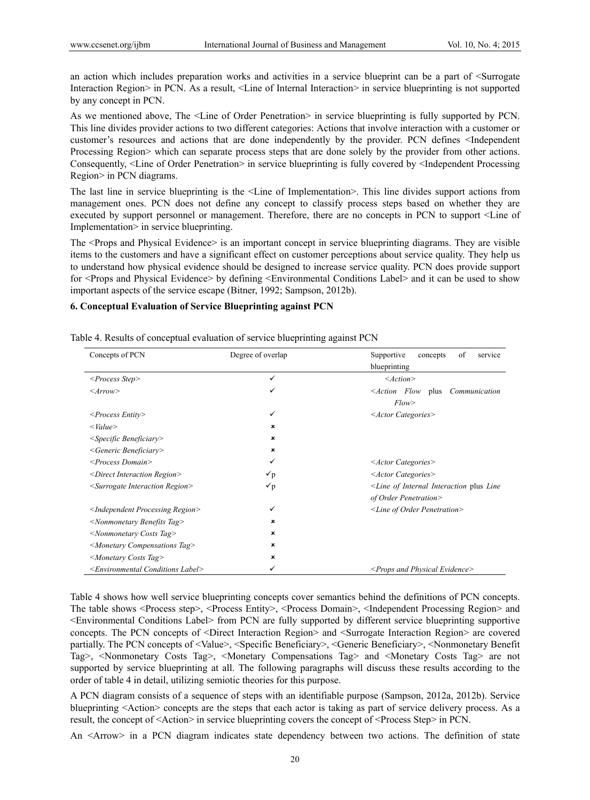an action which includes preparation works and activities in a service blueprint can be a part of <Surrogate Interaction Region> in PCN. As a result, <Line of Internal Interaction> in service blueprinting is not supported by any concept in PCN.

As we mentioned above, The <Line of Order Penetration> in service blueprinting is fully supported by PCN. This line divides provider actions to two different categories: Actions that involve interaction with a customer or customer's resources and actions that are done independently by the provider. PCN defines <Independent Processing Region> which can separate process steps that are done solely by the provider from other actions. Consequently, <Line of Order Penetration> in service blueprinting is fully covered by <Independent Processing Region> in PCN diagrams.

The last line in service blueprinting is the <Line of Implementation>. This line divides support actions from management ones. PCN does not define any concept to classify process steps based on whether they are executed by support personnel or management. Therefore, there are no concepts in PCN to support <Line of Implementation> in service blueprinting.

The <Props and Physical Evidence> is an important concept in service blueprinting diagrams. They are visible items to the customers and have a significant effect on customer perceptions about service quality. They help us to understand how physical evidence should be designed to increase service quality. PCN does provide support for <Props and Physical Evidence> by defining <Environmental Conditions Label> and it can be used to show important aspects of the service escape (Bitner, 1992; Sampson, 2012b).

# **6. Conceptual Evaluation of Service Blueprinting against PCN**

| Concepts of PCN                                        | Degree of overlap | of<br>Supportive<br>concepts<br>service                |  |  |
|--------------------------------------------------------|-------------------|--------------------------------------------------------|--|--|
|                                                        |                   | blueprinting                                           |  |  |
| $<$ Process Step>                                      | ✓                 | $\leq$ Action $>$                                      |  |  |
| $\leq$ Arrow $>$                                       |                   | $\leq$ <i>Action Flow</i> plus<br>Communication        |  |  |
|                                                        |                   | Flow                                                   |  |  |
| $<$ Process Entity>                                    | ✓                 | <actor categories=""></actor>                          |  |  |
| $\langle$ Value $\rangle$                              | ×                 |                                                        |  |  |
| $\leq$ Specific Beneficiary>                           | ×                 |                                                        |  |  |
| $\leq$ Generic Beneficiary $>$                         | ×                 |                                                        |  |  |
| $<$ Process Domain>                                    | ✓                 | <actor categories=""></actor>                          |  |  |
| <direct interaction="" region=""></direct>             | $\mathbf{v}_p$    | <actor categories=""></actor>                          |  |  |
| <surrogate interaction="" region=""></surrogate>       | $\mathbf{v}_p$    | < <i>Line of Internal Interaction</i> plus <i>Line</i> |  |  |
|                                                        |                   | of Order Penetration>                                  |  |  |
| <independent processing="" region=""></independent>    | ✓                 | <line of="" order="" penetration=""></line>            |  |  |
| <nonmonetary benefits="" tag=""></nonmonetary>         | ×                 |                                                        |  |  |
| <nonmonetary costs="" tag=""></nonmonetary>            | ×                 |                                                        |  |  |
| <monetary compensations="" tag=""></monetary>          | ×                 |                                                        |  |  |
| <monetary costs="" tag=""></monetary>                  | ×                 |                                                        |  |  |
| <environmental conditions="" label=""></environmental> |                   | <props and="" evidence="" physical=""></props>         |  |  |

Table 4. Results of conceptual evaluation of service blueprinting against PCN

Table 4 shows how well service blueprinting concepts cover semantics behind the definitions of PCN concepts. The table shows <Process step>, <Process Entity>, <Process Domain>, <Independent Processing Region> and <Environmental Conditions Label> from PCN are fully supported by different service blueprinting supportive concepts. The PCN concepts of <Direct Interaction Region> and <Surrogate Interaction Region> are covered partially. The PCN concepts of <Value>, <Specific Beneficiary>, <Generic Beneficiary>, <Nonmonetary Benefit Tag>, <Nonmonetary Costs Tag>, <Monetary Compensations Tag> and <Monetary Costs Tag> are not supported by service blueprinting at all. The following paragraphs will discuss these results according to the order of table 4 in detail, utilizing semiotic theories for this purpose.

A PCN diagram consists of a sequence of steps with an identifiable purpose (Sampson, 2012a, 2012b). Service blueprinting <Action> concepts are the steps that each actor is taking as part of service delivery process. As a result, the concept of <Action> in service blueprinting covers the concept of <Process Step> in PCN.

An <Arrow> in a PCN diagram indicates state dependency between two actions. The definition of state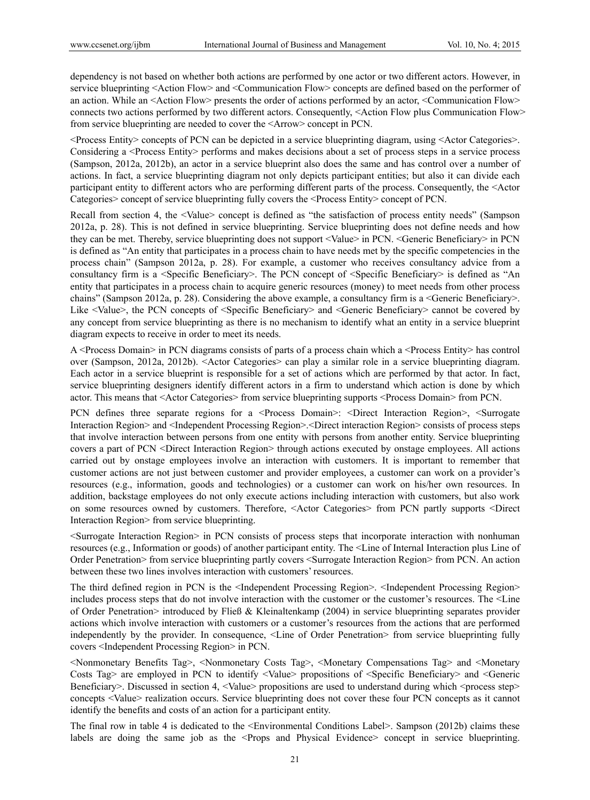dependency is not based on whether both actions are performed by one actor or two different actors. However, in service blueprinting <Action Flow> and <Communication Flow> concepts are defined based on the performer of an action. While an <Action Flow> presents the order of actions performed by an actor, <Communication Flow> connects two actions performed by two different actors. Consequently, <Action Flow plus Communication Flow> from service blueprinting are needed to cover the <Arrow> concept in PCN.

<Process Entity> concepts of PCN can be depicted in a service blueprinting diagram, using <Actor Categories>. Considering a <Process Entity> performs and makes decisions about a set of process steps in a service process (Sampson, 2012a, 2012b), an actor in a service blueprint also does the same and has control over a number of actions. In fact, a service blueprinting diagram not only depicts participant entities; but also it can divide each participant entity to different actors who are performing different parts of the process. Consequently, the <Actor Categories> concept of service blueprinting fully covers the <Process Entity> concept of PCN.

Recall from section 4, the <Value> concept is defined as "the satisfaction of process entity needs" (Sampson 2012a, p. 28). This is not defined in service blueprinting. Service blueprinting does not define needs and how they can be met. Thereby, service blueprinting does not support <Value> in PCN. <Generic Beneficiary> in PCN is defined as "An entity that participates in a process chain to have needs met by the specific competencies in the process chain" (Sampson 2012a, p. 28). For example, a customer who receives consultancy advice from a consultancy firm is a <Specific Beneficiary>. The PCN concept of <Specific Beneficiary> is defined as "An entity that participates in a process chain to acquire generic resources (money) to meet needs from other process chains" (Sampson 2012a, p. 28). Considering the above example, a consultancy firm is a <Generic Beneficiary>. Like <Value>, the PCN concepts of <Specific Beneficiary> and <Generic Beneficiary> cannot be covered by any concept from service blueprinting as there is no mechanism to identify what an entity in a service blueprint diagram expects to receive in order to meet its needs.

A <Process Domain> in PCN diagrams consists of parts of a process chain which a <Process Entity> has control over (Sampson, 2012a, 2012b). <Actor Categories> can play a similar role in a service blueprinting diagram. Each actor in a service blueprint is responsible for a set of actions which are performed by that actor. In fact, service blueprinting designers identify different actors in a firm to understand which action is done by which actor. This means that <Actor Categories> from service blueprinting supports <Process Domain> from PCN.

PCN defines three separate regions for a <Process Domain>: <Direct Interaction Region>, <Surrogate Interaction Region> and <Independent Processing Region>.<Direct interaction Region> consists of process steps that involve interaction between persons from one entity with persons from another entity. Service blueprinting covers a part of PCN <Direct Interaction Region> through actions executed by onstage employees. All actions carried out by onstage employees involve an interaction with customers. It is important to remember that customer actions are not just between customer and provider employees, a customer can work on a provider's resources (e.g., information, goods and technologies) or a customer can work on his/her own resources. In addition, backstage employees do not only execute actions including interaction with customers, but also work on some resources owned by customers. Therefore, <Actor Categories> from PCN partly supports <Direct Interaction Region> from service blueprinting.

<Surrogate Interaction Region> in PCN consists of process steps that incorporate interaction with nonhuman resources (e.g., Information or goods) of another participant entity. The <Line of Internal Interaction plus Line of Order Penetration> from service blueprinting partly covers <Surrogate Interaction Region> from PCN. An action between these two lines involves interaction with customers' resources.

The third defined region in PCN is the <Independent Processing Region>. <Independent Processing Region> includes process steps that do not involve interaction with the customer or the customer's resources. The <Line of Order Penetration> introduced by Fließ & Kleinaltenkamp (2004) in service blueprinting separates provider actions which involve interaction with customers or a customer's resources from the actions that are performed independently by the provider. In consequence, <Line of Order Penetration> from service blueprinting fully covers <Independent Processing Region> in PCN.

<Nonmonetary Benefits Tag>, <Nonmonetary Costs Tag>, <Monetary Compensations Tag> and <Monetary Costs Tag> are employed in PCN to identify <Value> propositions of <Specific Beneficiary> and <Generic Beneficiary>. Discussed in section 4, <Value> propositions are used to understand during which <process step> concepts <Value> realization occurs. Service blueprinting does not cover these four PCN concepts as it cannot identify the benefits and costs of an action for a participant entity.

The final row in table 4 is dedicated to the <Environmental Conditions Label>. Sampson (2012b) claims these labels are doing the same job as the <Props and Physical Evidence> concept in service blueprinting.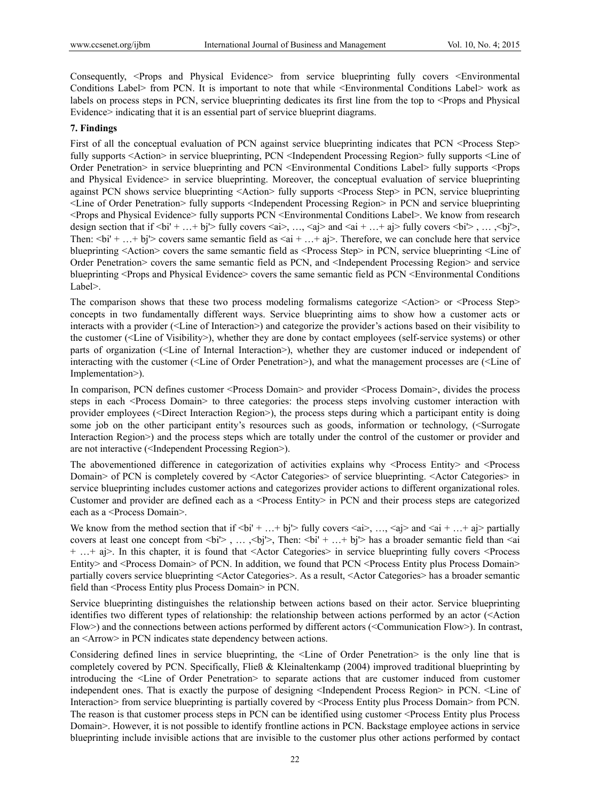Consequently, <Props and Physical Evidence> from service blueprinting fully covers <Environmental Conditions Label> from PCN. It is important to note that while <Environmental Conditions Label> work as labels on process steps in PCN, service blueprinting dedicates its first line from the top to <Props and Physical Evidence> indicating that it is an essential part of service blueprint diagrams.

#### **7. Findings**

First of all the conceptual evaluation of PCN against service blueprinting indicates that PCN <Process Step> fully supports <Action> in service blueprinting, PCN <Independent Processing Region> fully supports <Line of Order Penetration> in service blueprinting and PCN <Environmental Conditions Label> fully supports <Props and Physical Evidence> in service blueprinting. Moreover, the conceptual evaluation of service blueprinting against PCN shows service blueprinting <Action> fully supports <Process Step> in PCN, service blueprinting <Line of Order Penetration> fully supports <Independent Processing Region> in PCN and service blueprinting <Props and Physical Evidence> fully supports PCN <Environmental Conditions Label>. We know from research design section that if  $\langle bi' + ... + bj' \rangle$  fully covers  $\langle ai \rangle$ ,  $\ldots$ ,  $\langle aj \rangle$  and  $\langle ai + ... + aj \rangle$  fully covers  $\langle bi' \rangle$ ,  $\ldots$ ,  $\langle bj' \rangle$ , Then:  $\langle bi' + ... + bj' \rangle$  covers same semantic field as  $\langle ai + ... + aj \rangle$ . Therefore, we can conclude here that service blueprinting <Action> covers the same semantic field as <Process Step> in PCN, service blueprinting <Line of Order Penetration> covers the same semantic field as PCN, and <Independent Processing Region> and service blueprinting <Props and Physical Evidence> covers the same semantic field as PCN <Environmental Conditions Label>.

The comparison shows that these two process modeling formalisms categorize <Action> or <Process Step> concepts in two fundamentally different ways. Service blueprinting aims to show how a customer acts or interacts with a provider (<Line of Interaction>) and categorize the provider's actions based on their visibility to the customer (<Line of Visibility>), whether they are done by contact employees (self-service systems) or other parts of organization (<Line of Internal Interaction>), whether they are customer induced or independent of interacting with the customer (<Line of Order Penetration>), and what the management processes are (<Line of Implementation>).

In comparison, PCN defines customer <Process Domain> and provider <Process Domain>, divides the process steps in each <Process Domain> to three categories: the process steps involving customer interaction with provider employees (<Direct Interaction Region>), the process steps during which a participant entity is doing some job on the other participant entity's resources such as goods, information or technology, (<Surrogate Interaction Region>) and the process steps which are totally under the control of the customer or provider and are not interactive (<Independent Processing Region>).

The abovementioned difference in categorization of activities explains why <Process Entity> and <Process Domain> of PCN is completely covered by <Actor Categories> of service blueprinting. <Actor Categories> in service blueprinting includes customer actions and categorizes provider actions to different organizational roles. Customer and provider are defined each as a <Process Entity> in PCN and their process steps are categorized each as a <Process Domain>.

We know from the method section that if  $\langle bi' + ... + bj' \rangle$  fully covers  $\langle ai \rangle$ ,  $\langle aj \rangle$  and  $\langle ai + ... + aj \rangle$  partially covers at least one concept from  $\langle bi' \rangle$ , ...,  $\langle bi' \rangle$ , Then:  $\langle bi' + ... + bi' \rangle$  has a broader semantic field than  $\langle ai \rangle$ + …+ aj>. In this chapter, it is found that <Actor Categories> in service blueprinting fully covers <Process Entity> and <Process Domain> of PCN. In addition, we found that PCN <Process Entity plus Process Domain> partially covers service blueprinting <Actor Categories>. As a result, <Actor Categories> has a broader semantic field than <Process Entity plus Process Domain> in PCN.

Service blueprinting distinguishes the relationship between actions based on their actor. Service blueprinting identifies two different types of relationship: the relationship between actions performed by an actor (<Action Flow>) and the connections between actions performed by different actors (<Communication Flow>). In contrast, an <Arrow> in PCN indicates state dependency between actions.

Considering defined lines in service blueprinting, the <Line of Order Penetration> is the only line that is completely covered by PCN. Specifically, Fließ & Kleinaltenkamp (2004) improved traditional blueprinting by introducing the <Line of Order Penetration> to separate actions that are customer induced from customer independent ones. That is exactly the purpose of designing <Independent Process Region> in PCN. <Line of Interaction> from service blueprinting is partially covered by <Process Entity plus Process Domain> from PCN. The reason is that customer process steps in PCN can be identified using customer <Process Entity plus Process Domain>. However, it is not possible to identify frontline actions in PCN. Backstage employee actions in service blueprinting include invisible actions that are invisible to the customer plus other actions performed by contact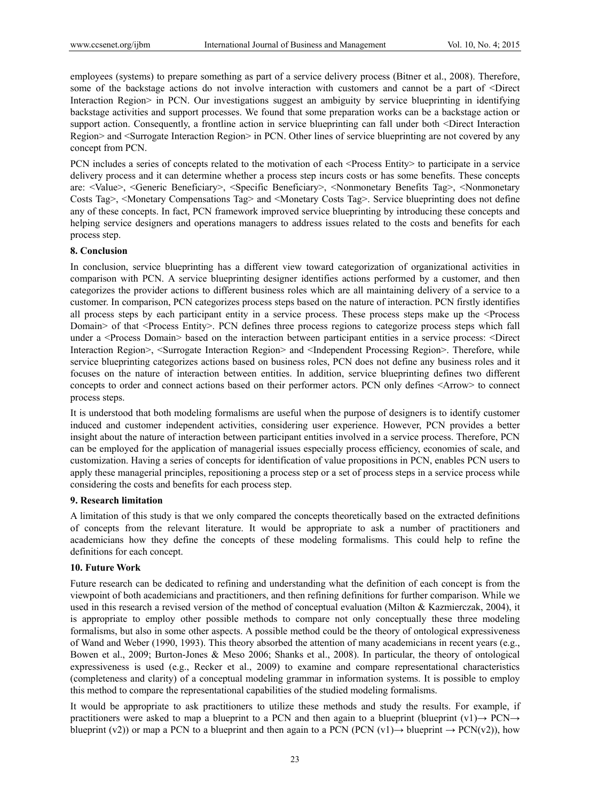employees (systems) to prepare something as part of a service delivery process (Bitner et al., 2008). Therefore, some of the backstage actions do not involve interaction with customers and cannot be a part of <Direct Interaction Region> in PCN. Our investigations suggest an ambiguity by service blueprinting in identifying backstage activities and support processes. We found that some preparation works can be a backstage action or support action. Consequently, a frontline action in service blueprinting can fall under both <Direct Interaction Region> and <Surrogate Interaction Region> in PCN. Other lines of service blueprinting are not covered by any concept from PCN.

PCN includes a series of concepts related to the motivation of each <Process Entity> to participate in a service delivery process and it can determine whether a process step incurs costs or has some benefits. These concepts are: <Value>, <Generic Beneficiary>, <Specific Beneficiary>, <Nonmonetary Benefits Tag>, <Nonmonetary Costs Tag>, <Monetary Compensations Tag> and <Monetary Costs Tag>. Service blueprinting does not define any of these concepts. In fact, PCN framework improved service blueprinting by introducing these concepts and helping service designers and operations managers to address issues related to the costs and benefits for each process step.

#### **8. Conclusion**

In conclusion, service blueprinting has a different view toward categorization of organizational activities in comparison with PCN. A service blueprinting designer identifies actions performed by a customer, and then categorizes the provider actions to different business roles which are all maintaining delivery of a service to a customer. In comparison, PCN categorizes process steps based on the nature of interaction. PCN firstly identifies all process steps by each participant entity in a service process. These process steps make up the <Process Domain> of that <Process Entity>. PCN defines three process regions to categorize process steps which fall under a <Process Domain> based on the interaction between participant entities in a service process: <Direct Interaction Region>, <Surrogate Interaction Region> and <Independent Processing Region>. Therefore, while service blueprinting categorizes actions based on business roles, PCN does not define any business roles and it focuses on the nature of interaction between entities. In addition, service blueprinting defines two different concepts to order and connect actions based on their performer actors. PCN only defines <Arrow> to connect process steps.

It is understood that both modeling formalisms are useful when the purpose of designers is to identify customer induced and customer independent activities, considering user experience. However, PCN provides a better insight about the nature of interaction between participant entities involved in a service process. Therefore, PCN can be employed for the application of managerial issues especially process efficiency, economies of scale, and customization. Having a series of concepts for identification of value propositions in PCN, enables PCN users to apply these managerial principles, repositioning a process step or a set of process steps in a service process while considering the costs and benefits for each process step.

# **9. Research limitation**

A limitation of this study is that we only compared the concepts theoretically based on the extracted definitions of concepts from the relevant literature. It would be appropriate to ask a number of practitioners and academicians how they define the concepts of these modeling formalisms. This could help to refine the definitions for each concept.

# **10. Future Work**

Future research can be dedicated to refining and understanding what the definition of each concept is from the viewpoint of both academicians and practitioners, and then refining definitions for further comparison. While we used in this research a revised version of the method of conceptual evaluation (Milton & Kazmierczak, 2004), it is appropriate to employ other possible methods to compare not only conceptually these three modeling formalisms, but also in some other aspects. A possible method could be the theory of ontological expressiveness of Wand and Weber (1990, 1993). This theory absorbed the attention of many academicians in recent years (e.g., Bowen et al., 2009; Burton-Jones & Meso 2006; Shanks et al., 2008). In particular, the theory of ontological expressiveness is used (e.g., Recker et al., 2009) to examine and compare representational characteristics (completeness and clarity) of a conceptual modeling grammar in information systems. It is possible to employ this method to compare the representational capabilities of the studied modeling formalisms.

It would be appropriate to ask practitioners to utilize these methods and study the results. For example, if practitioners were asked to map a blueprint to a PCN and then again to a blueprint (blueprint (v1) $\rightarrow$  PCN $\rightarrow$ blueprint (v2)) or map a PCN to a blueprint and then again to a PCN (PCN (v1) $\rightarrow$  blueprint  $\rightarrow$  PCN(v2)), how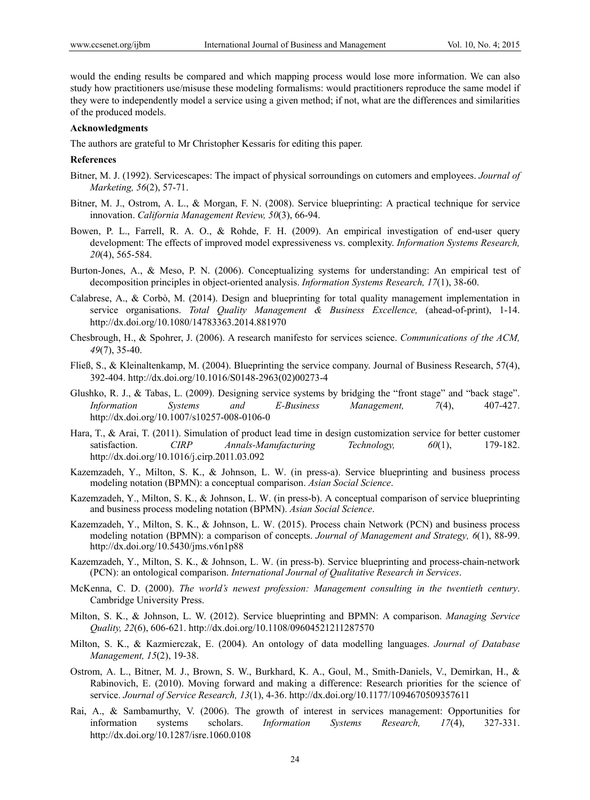would the ending results be compared and which mapping process would lose more information. We can also study how practitioners use/misuse these modeling formalisms: would practitioners reproduce the same model if they were to independently model a service using a given method; if not, what are the differences and similarities of the produced models.

#### **Acknowledgments**

The authors are grateful to Mr Christopher Kessaris for editing this paper.

#### **References**

- Bitner, M. J. (1992). Servicescapes: The impact of physical sorroundings on cutomers and employees. *Journal of Marketing, 56*(2), 57-71.
- Bitner, M. J., Ostrom, A. L., & Morgan, F. N. (2008). Service blueprinting: A practical technique for service innovation. *California Management Review, 50*(3), 66-94.
- Bowen, P. L., Farrell, R. A. O., & Rohde, F. H. (2009). An empirical investigation of end-user query development: The effects of improved model expressiveness vs. complexity. *Information Systems Research, 20*(4), 565-584.
- Burton-Jones, A., & Meso, P. N. (2006). Conceptualizing systems for understanding: An empirical test of decomposition principles in object-oriented analysis. *Information Systems Research, 17*(1), 38-60.
- Calabrese, A., & Corbò, M. (2014). Design and blueprinting for total quality management implementation in service organisations. *Total Quality Management & Business Excellence,* (ahead-of-print), 1-14. http://dx.doi.org/10.1080/14783363.2014.881970
- Chesbrough, H., & Spohrer, J. (2006). A research manifesto for services science. *Communications of the ACM, 49*(7), 35-40.
- Fließ, S., & Kleinaltenkamp, M. (2004). Blueprinting the service company. Journal of Business Research, 57(4), 392-404. http://dx.doi.org/10.1016/S0148-2963(02)00273-4
- Glushko, R. J., & Tabas, L. (2009). Designing service systems by bridging the "front stage" and "back stage". *Information Systems and E-Business Management, 7*(4), 407-427. http://dx.doi.org/10.1007/s10257-008-0106-0
- Hara, T., & Arai, T. (2011). Simulation of product lead time in design customization service for better customer satisfaction. *CIRP Annals-Manufacturing Technology, 60*(1), 179-182. http://dx.doi.org/10.1016/j.cirp.2011.03.092
- Kazemzadeh, Y., Milton, S. K., & Johnson, L. W. (in press-a). Service blueprinting and business process modeling notation (BPMN): a conceptual comparison. *Asian Social Science*.
- Kazemzadeh, Y., Milton, S. K., & Johnson, L. W. (in press-b). A conceptual comparison of service blueprinting and business process modeling notation (BPMN). *Asian Social Science*.
- Kazemzadeh, Y., Milton, S. K., & Johnson, L. W. (2015). Process chain Network (PCN) and business process modeling notation (BPMN): a comparison of concepts. *Journal of Management and Strategy, 6*(1), 88-99. http://dx.doi.org/10.5430/jms.v6n1p88
- Kazemzadeh, Y., Milton, S. K., & Johnson, L. W. (in press-b). Service blueprinting and process-chain-network (PCN): an ontological comparison. *International Journal of Qualitative Research in Services*.
- McKenna, C. D. (2000). *The world's newest profession: Management consulting in the twentieth century*. Cambridge University Press.
- Milton, S. K., & Johnson, L. W. (2012). Service blueprinting and BPMN: A comparison. *Managing Service Quality, 22*(6), 606-621. http://dx.doi.org/10.1108/09604521211287570
- Milton, S. K., & Kazmierczak, E. (2004). An ontology of data modelling languages. *Journal of Database Management, 15*(2), 19-38.
- Ostrom, A. L., Bitner, M. J., Brown, S. W., Burkhard, K. A., Goul, M., Smith-Daniels, V., Demirkan, H., & Rabinovich, E. (2010). Moving forward and making a difference: Research priorities for the science of service. *Journal of Service Research, 13*(1), 4-36. http://dx.doi.org/10.1177/1094670509357611
- Rai, A., & Sambamurthy, V. (2006). The growth of interest in services management: Opportunities for information systems scholars. *Information Systems Research, 17*(4), 327-331. http://dx.doi.org/10.1287/isre.1060.0108